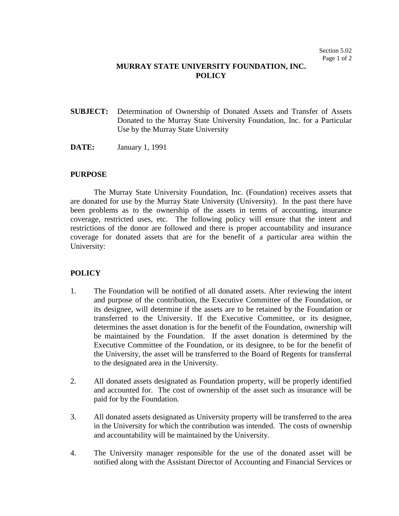## **MURRAY STATE UNIVERSITY FOUNDATION, INC. POLICY**

- **SUBJECT:** Determination of Ownership of Donated Assets and Transfer of Assets Donated to the Murray State University Foundation, Inc. for a Particular Use by the Murray State University
- **DATE:** January 1, 1991

## **PURPOSE**

The Murray State University Foundation, Inc. (Foundation) receives assets that are donated for use by the Murray State University (University). In the past there have been problems as to the ownership of the assets in terms of accounting, insurance coverage, restricted uses, etc. The following policy will ensure that the intent and restrictions of the donor are followed and there is proper accountability and insurance coverage for donated assets that are for the benefit of a particular area within the University:

## **POLICY**

- 1. The Foundation will be notified of all donated assets. After reviewing the intent and purpose of the contribution, the Executive Committee of the Foundation, or its designee, will determine if the assets are to be retained by the Foundation or transferred to the University. If the Executive Committee, or its designee, determines the asset donation is for the benefit of the Foundation, ownership will be maintained by the Foundation. If the asset donation is determined by the Executive Committee of the Foundation, or its designee, to be for the benefit of the University, the asset will be transferred to the Board of Regents for transferral to the designated area in the University.
- 2. All donated assets designated as Foundation property, will be properly identified and accounted for. The cost of ownership of the asset such as insurance will be paid for by the Foundation.
- 3. All donated assets designated as University property will be transferred to the area in the University for which the contribution was intended. The costs of ownership and accountability will be maintained by the University.
- 4. The University manager responsible for the use of the donated asset will be notified along with the Assistant Director of Accounting and Financial Services or